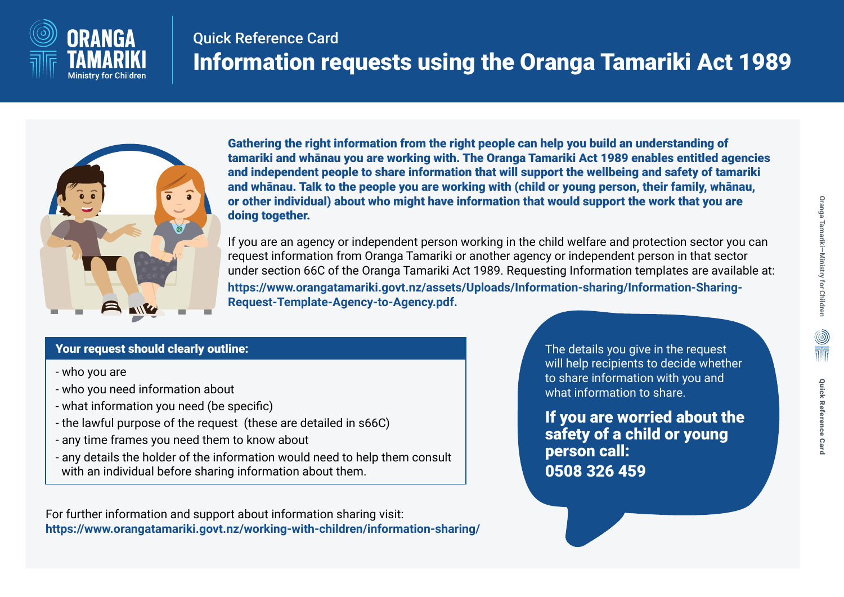

## Quick Reference Card Information requests using the Oranga Tamariki Act 1989



Gathering the right information from the right people can help you build an understanding of tamariki and whānau you are working with. The Oranga Tamariki Act 1989 enables entitled agencies and independent people to share information that will support the wellbeing and safety of tamariki and whānau. Talk to the people you are working with (child or young person, their family, whānau, or other individual) about who might have information that would support the work that you are doing together.

If you are an agency or independent person working in the child welfare and protection sector you can request information from Oranga Tamariki or another agency or independent person in that sector under section 66C of the Oranga Tamariki Act 1989. Requesting Information templates are available at: **https://www.orangatamariki.govt.nz/assets/Uploads/Information-sharing/Information-Sharing-Request-Template-Agency-to-Agency.pdf.**

### Your request should clearly outline:

- who you are
- who you need information about
- what information you need (be specific)
- the lawful purpose of the request (these are detailed in s66C)
- any time frames you need them to know about
- any details the holder of the information would need to help them consult with an individual before sharing information about them.

For further information and support about information sharing visit: **https://www.orangatamariki.govt.nz/working-with-children/information-sharing/** The details you give in the request will help recipients to decide whether to share information with you and what information to share.

If you are worried about the safety of a child or young person call: 0508 326 459

 $\begin{matrix} \textcircled{\tiny{A}} \\ \textcircled{\tiny{B}} \\ \textcircled{\tiny{B}} \end{matrix}$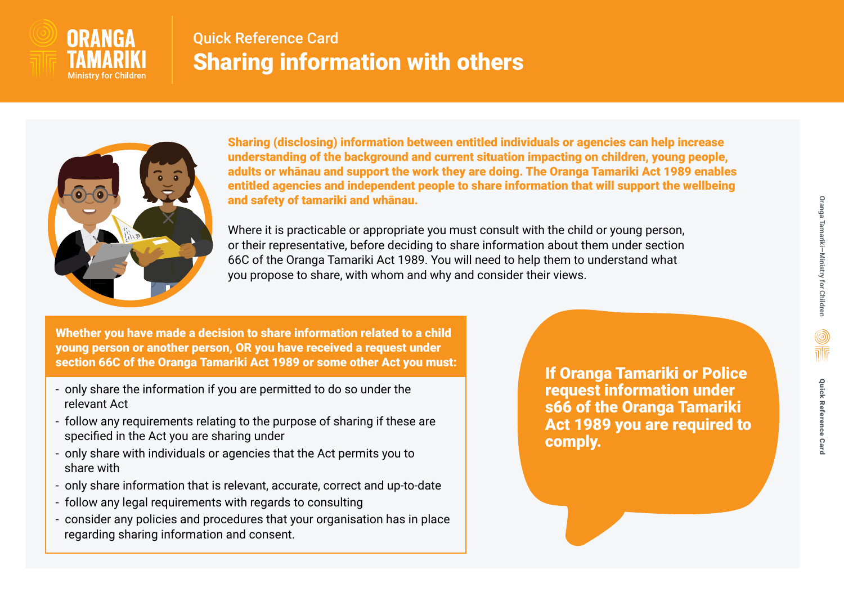

### Quick Reference Card Sharing information with others



Sharing (disclosing) information between entitled individuals or agencies can help increase understanding of the background and current situation impacting on children, young people, adults or whānau and support the work they are doing. The Oranga Tamariki Act 1989 enables entitled agencies and independent people to share information that will support the wellbeing and safety of tamariki and whānau.

Where it is practicable or appropriate you must consult with the child or young person, or their representative, before deciding to share information about them under section 66C of the Oranga Tamariki Act 1989. You will need to help them to understand what you propose to share, with whom and why and consider their views.

Whether you have made a decision to share information related to a child young person or another person, OR you have received a request under section 66C of the Oranga Tamariki Act 1989 or some other Act you must:

- only share the information if you are permitted to do so under the relevant Act
- follow any requirements relating to the purpose of sharing if these are specified in the Act you are sharing under
- only share with individuals or agencies that the Act permits you to share with
- only share information that is relevant, accurate, correct and up-to-date
- follow any legal requirements with regards to consulting
- consider any policies and procedures that your organisation has in place regarding sharing information and consent.

If Oranga Tamariki or Police request information under s66 of the Oranga Tamariki Act 1989 you are required to comply.

Quick Reference Card

**Quick Reference Card** 

 $\frac{\textcircled{\tiny{}}}{\text{min}}$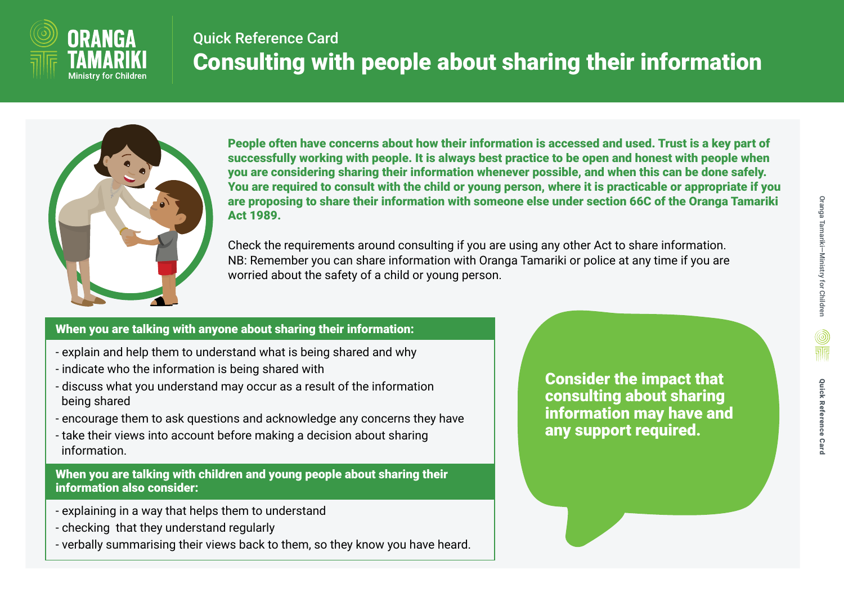

# Quick Reference Card Consulting with people about sharing their information



People often have concerns about how their information is accessed and used. Trust is a key part of successfully working with people. It is always best practice to be open and honest with people when you are considering sharing their information whenever possible, and when this can be done safely. You are required to consult with the child or young person, where it is practicable or appropriate if you are proposing to share their information with someone else under section 66C of the Oranga Tamariki Act 1989.

Check the requirements around consulting if you are using any other Act to share information. NB: Remember you can share information with Oranga Tamariki or police at any time if you are worried about the safety of a child or young person.

#### When you are talking with anyone about sharing their information:

- explain and help them to understand what is being shared and why
- indicate who the information is being shared with
- discuss what you understand may occur as a result of the information being shared
- encourage them to ask questions and acknowledge any concerns they have
- take their views into account before making a decision about sharing information.

When you are talking with children and young people about sharing their information also consider:

- explaining in a way that helps them to understand
- checking that they understand regularly
- verbally summarising their views back to them, so they know you have heard.

Consider the impact that consulting about sharing information may have and any support required.

 $\frac{\textcircled{\tiny{}}}{\text{min}}$